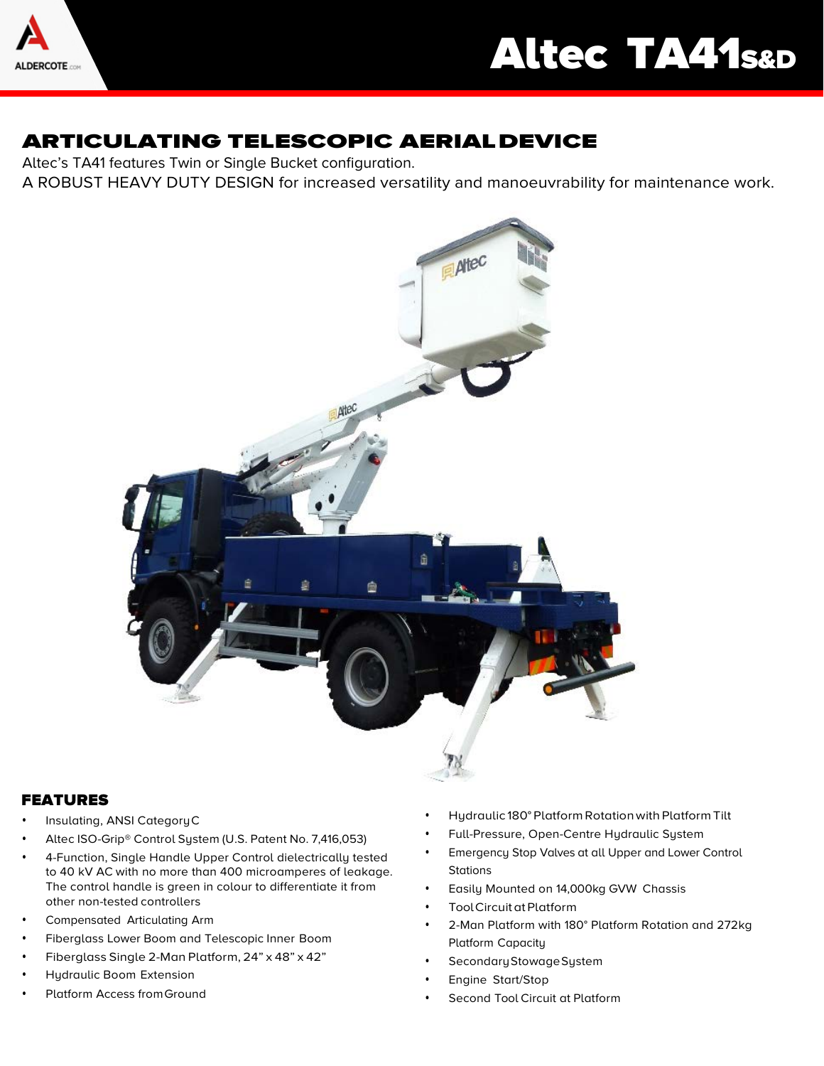

# ARTICULATING TELESCOPIC AERIALDEVICE

Altec's TA41 features Twin or Single Bucket configuration. A ROBUST HEAVY DUTY DESIGN for increased versatility and manoeuvrability for maintenance work.



## FEATURES

- Insulating, ANSI CategoryC
- Altec ISO-Grip® Control System (U.S. Patent No. 7,416,053)
- 4-Function, Single Handle Upper Control dielectrically tested to 40 kV AC with no more than 400 microamperes of leakage. The control handle is green in colour to differentiate it from other non-tested controllers
- Compensated Articulating Arm
- Fiberglass Lower Boom and Telescopic Inner Boom
- Fiberglass Single 2-Man Platform, 24" x 48" x 42"
- Hydraulic Boom Extension
- Platform Access fromGround
- Hydraulic 180° Platform Rotationwith Platform Tilt
- Full-Pressure, Open-Centre Hydraulic System
- Emergency Stop Valves at all Upper and Lower Control **Stations**
- Easily Mounted on 14,000kg GVW Chassis
- Tool Circuit at Platform
- 2-Man Platform with 180° Platform Rotation and 272kg Platform Capacity
- Secondary Stowage System
- Engine Start/Stop
- Second Tool Circuit at Platform